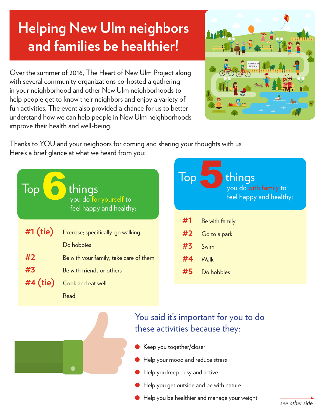## **Helping New Ulm neighbors and families be healthier!**

Over the summer of 2016, The Heart of New Ulm Project along with several community organizations co-hosted a gathering in your neighborhood and other New Ulm neighborhoods to help people get to know their neighbors and enjoy a variety of fun activities. The event also provided a chance for us to better understand how we can help people in New Ulm neighborhoods improve their health and well-being.



Thanks to YOU and your neighbors for coming and sharing your thoughts with us. Here's a brief glance at what we heard from you:





## You said it's important for you to do these activities because they:

- Keep you together/closer
- **I** Help your mood and reduce stress
- $\bullet$  Help you keep busy and active
- Help you get outside and be with nature
- l Help you be healthier and manage your weight